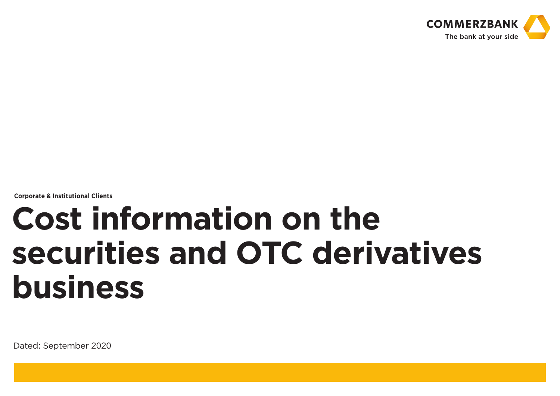

**Corporate & Institutional Clients**

# **Cost information on the securities and OTC derivatives business**

Dated: September 2020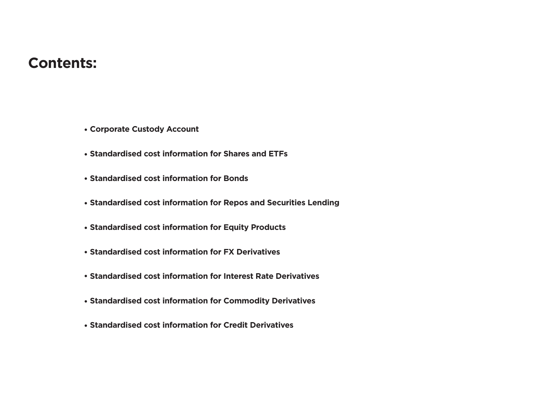### **Contents:**

- **Corporate Custody Account**
- **Standardised cost information for Shares and ETFs**
- **Standardised cost information for Bonds**
- **Standardised cost information for Repos and Securities Lending**
- **Standardised cost information for Equity Products**
- **Standardised cost information for FX Derivatives**
- **Standardised cost information for Interest Rate Derivatives**
- **Standardised cost information for Commodity Derivatives**
- **Standardised cost information for Credit Derivatives**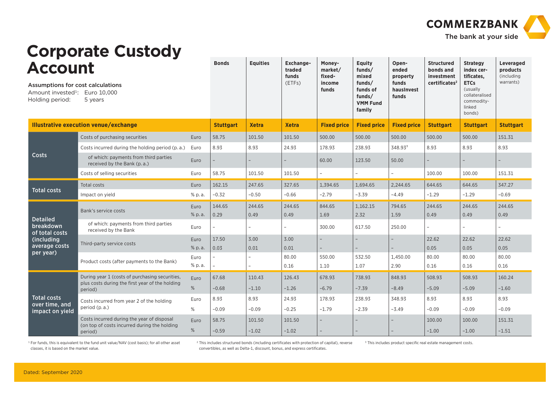

|                                                     | <b>Corporate Custody</b>                                             |                |                  |                 |                                        |                                                |                                                 |                                                   |                                                                           |                                                                        |                                                  |
|-----------------------------------------------------|----------------------------------------------------------------------|----------------|------------------|-----------------|----------------------------------------|------------------------------------------------|-------------------------------------------------|---------------------------------------------------|---------------------------------------------------------------------------|------------------------------------------------------------------------|--------------------------------------------------|
| <b>Account</b><br>Assumptions for cost calculations |                                                                      |                | <b>Bonds</b>     | <b>Equities</b> | Exchange-<br>traded<br>funds<br>(ETFs) | Money-<br>market/<br>fixed-<br>income<br>funds | Equity<br>funds/<br>mixed<br>funds/<br>funds of | Open-<br>ended<br>property<br>funds<br>hausInvest | <b>Structured</b><br>bonds and<br>investment<br>certificates <sup>2</sup> | <b>Strategy</b><br>index cer-<br>tificates,<br><b>ETCs</b><br>(usually | Leveraged<br>products<br>(including<br>warrants) |
| Amount invested <sup>1</sup> :<br>Holding period:   | Euro 10,000<br>5 years                                               |                |                  |                 |                                        |                                                | funds/<br><b>VMM Fund</b><br>family             | funds                                             |                                                                           | collateralised<br>commodity-<br>linked<br>bonds)                       |                                                  |
|                                                     | <b>Illustrative execution venue/exchange</b>                         |                | <b>Stuttgart</b> | <b>Xetra</b>    | <b>Xetra</b>                           | <b>Fixed price</b>                             | <b>Fixed price</b>                              | <b>Fixed price</b>                                | <b>Stuttgart</b>                                                          | <b>Stuttgart</b>                                                       | <b>Stuttgart</b>                                 |
|                                                     | Costs of purchasing securities                                       | Euro           | 58.75            | 101.50          | 101.50                                 | 500.00                                         | 500.00                                          | 500.00                                            | 500.00                                                                    | 500.00                                                                 | 151.31                                           |
|                                                     | Costs incurred during the holding period (p.a.)                      | Euro           | 8.93             | 8.93            | 24.93                                  | 178.93                                         | 238.93                                          | 348.93 <sup>3</sup>                               | 8.93                                                                      | 8.93                                                                   | 8.93                                             |
| Costs                                               | of which: payments from third parties<br>received by the Bank (p.a.) | Euro           |                  |                 |                                        | 60.00                                          | 123.50                                          | 50.00                                             |                                                                           |                                                                        |                                                  |
|                                                     | Costs of selling securities                                          | Euro           | 58.75            | 101.50          | 101.50                                 |                                                |                                                 | $\overline{a}$                                    | 100.00                                                                    | 100.00                                                                 | 151.31                                           |
| <b>Total costs</b>                                  | Total costs                                                          | Euro           | 162.15           | 247.65          | 327.65                                 | 1.394.65                                       | 1.694.65                                        | 2.244.65                                          | 644.65                                                                    | 644.65                                                                 | 347.27                                           |
|                                                     | Impact on yield                                                      | % p.a.         | $-0.32$          | $-0.50$         | $-0.66$                                | $-2.79$                                        | $-3.39$                                         | $-4.49$                                           | $-1.29$                                                                   | $-1.29$                                                                | $-0.69$                                          |
|                                                     | Bank's service costs                                                 | Euro<br>% p.a. | 144.65<br>0.29   | 244.65<br>0.49  | 244.65<br>0.49                         | 844.65<br>1.69                                 | 1.162.15<br>2.32                                | 794.65<br>1.59                                    | 244.65<br>0.49                                                            | 244.65<br>0.49                                                         | 244.65<br>0.49                                   |
| <b>Detailed</b><br>breakdown<br>of total costs      | of which: payments from third parties<br>received by the Bank        | Euro           |                  |                 |                                        | 300.00                                         | 617.50                                          | 250.00                                            | $\overline{\phantom{0}}$                                                  |                                                                        |                                                  |
| (including<br>average costs                         | Third-party service costs                                            | Euro<br>% p.a. | 17.50<br>0.03    | 3.00<br>0.01    | 3.00<br>0.01                           | $\overline{a}$                                 |                                                 | $\overline{a}$<br>$-$                             | 22.62<br>0.05                                                             | 22.62<br>0.05                                                          | 22.62<br>0.05                                    |
| per year)                                           | Product costs (after payments to the Bank)                           | Euro<br>% p.a. |                  |                 | 80.00<br>0.16                          | 550.00<br>1.10                                 | 532.50<br>1.07                                  | 1.450.00<br>2.90                                  | 80.00<br>0.16                                                             | 80.00<br>0.16                                                          | 80.00<br>0.16                                    |
|                                                     | During year 1 (costs of purchasing securities,                       | Euro           | 67.68            | 110.43          | 126.43                                 | 678.93                                         | 738.93                                          | 848.93                                            | 508.93                                                                    | 508.93                                                                 | 160.24                                           |
|                                                     | plus costs during the first year of the holding<br>period)           | %              | $-0.68$          | $-1.10$         | $-1.26$                                | $-6.79$                                        | $-7.39$                                         | $-8.49$                                           | $-5.09$                                                                   | $-5.09$                                                                | $-1.60$                                          |
| <b>Total costs</b>                                  | Costs incurred from year 2 of the holding                            | Euro           | 8.93             | 8.93            | 24.93                                  | 178.93                                         | 238.93                                          | 348.93                                            | 8.93                                                                      | 8.93                                                                   | 8.93                                             |
| over time, and<br>impact on yield                   | period (p.a.)                                                        | %              | $-0.09$          | $-0.09$         | $-0.25$                                | $-1.79$                                        | $-2.39$                                         | $-3.49$                                           | $-0.09$                                                                   | $-0.09$                                                                | $-0.09$                                          |
|                                                     | Costs incurred during the year of disposal                           | Euro           | 58.75            | 101.50          | 101.50                                 |                                                |                                                 |                                                   | 100.00                                                                    | 100.00                                                                 | 151.31                                           |
|                                                     | (on top of costs incurred during the holding<br>period)              | %              | $-0.59$          | $-1.02$         | $-1.02$                                |                                                |                                                 |                                                   | $-1.00$                                                                   | $-1.00$                                                                | $-1.51$                                          |

<sup>1</sup> For funds, this is equivalent to the fund unit value/NAV (cost basis); for all other asset classes, it is based on the market value.

2 This includes structured bonds (including certificates with protection of capital), reverse convertibles, as well as Delta-1, discount, bonus, and express certificates.

<sup>3</sup> This includes product specific real estate management costs.

Dated: September 2020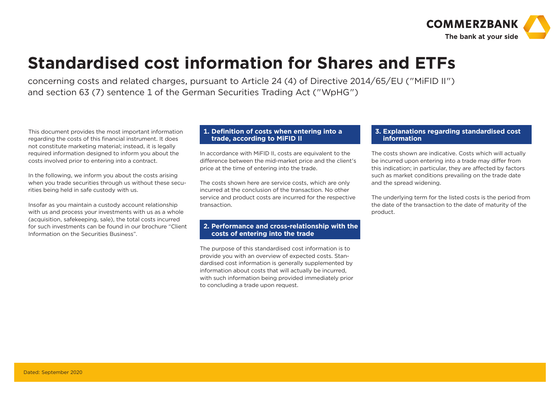

### **Standardised cost information for Shares and ETFs**

concerning costs and related charges, pursuant to Article 24 (4) of Directive 2014/65/EU ("MiFID II") and section 63 (7) sentence 1 of the German Securities Trading Act ("WpHG")

This document provides the most important information regarding the costs of this financial instrument. It does not constitute marketing material; instead, it is legally required information designed to inform you about the costs involved prior to entering into a contract.

In the following, we inform you about the costs arising when you trade securities through us without these securities being held in safe custody with us.

Insofar as you maintain a custody account relationship with us and process your investments with us as a whole (acquisition, safekeeping, sale), the total costs incurred for such investments can be found in our brochure "Client Information on the Securities Business".

#### **1. Definition of costs when entering into a trade, according to MiFID II**

In accordance with MiFID II, costs are equivalent to the difference between the mid-market price and the client's price at the time of entering into the trade.

The costs shown here are service costs, which are only incurred at the conclusion of the transaction. No other service and product costs are incurred for the respective transaction.

#### **2. Performance and cross-relationship with the costs of entering into the trade**

The purpose of this standardised cost information is to provide you with an overview of expected costs. Standardised cost information is generally supplemented by information about costs that will actually be incurred, with such information being provided immediately prior to concluding a trade upon request.

#### **3. Explanations regarding standardised cost information**

The costs shown are indicative. Costs which will actually be incurred upon entering into a trade may differ from this indication; in particular, they are affected by factors such as market conditions prevailing on the trade date and the spread widening.

The underlying term for the listed costs is the period from the date of the transaction to the date of maturity of the product.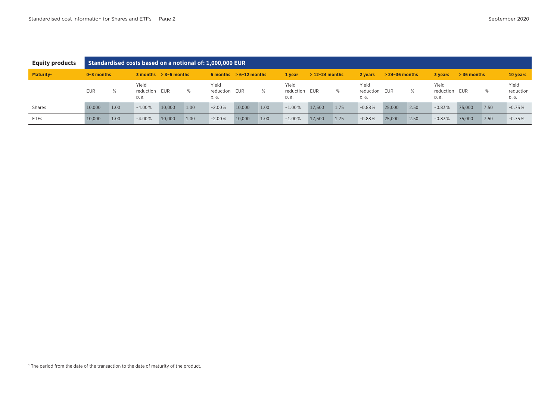| <b>Equity products</b> |                |      |                                |                           |      | Standardised costs based on a notional of: 1,000,000 EUR |                          |      |                                |                  |      |                             |                    |      |                            |               |      |                            |
|------------------------|----------------|------|--------------------------------|---------------------------|------|----------------------------------------------------------|--------------------------|------|--------------------------------|------------------|------|-----------------------------|--------------------|------|----------------------------|---------------|------|----------------------------|
| Maturity <sup>1</sup>  | $0 - 3$ months |      |                                | $3$ months $> 3-6$ months |      |                                                          | 6 months $> 6-12$ months |      | 1 year                         | $>$ 12-24 months |      | 2 vears                     | $> 24 - 36$ months |      | 3 vears                    | $> 36$ months |      | 10 years                   |
|                        | <b>EUR</b>     | %    | Yield<br>reduction EUR<br>p.a. |                           | %    | Yield<br>reduction<br>p. a.                              | EUR                      | %    | Yield<br>reduction EUR<br>p.a. |                  | %    | Yield<br>reduction<br>p. a. | EUR                | ℅    | Yield<br>reduction<br>p.a. | EUR           | %    | Yield<br>reduction<br>p.a. |
| <b>Shares</b>          | 10.000         | 1.00 | $-4.00%$                       | 10.000                    | 1.00 | $-2.00%$                                                 | 10.000                   | 1.00 | $-1.00%$                       | 17.500           | 1.75 | $-0.88%$                    | 25.000             | 2.50 | $-0.83%$                   | 75,000        | 7.50 | $-0.75%$                   |
| <b>ETFs</b>            | 10,000         | 1.00 | $-4.00%$                       | 10,000                    | 1.00 | $-2.00%$                                                 | 10,000                   | 1.00 | $-1.00%$                       | 17,500           | 1.75 | $-0.88%$                    | 25,000             | 2.50 | $-0.83%$                   | 75,000        | 7.50 | $-0.75%$                   |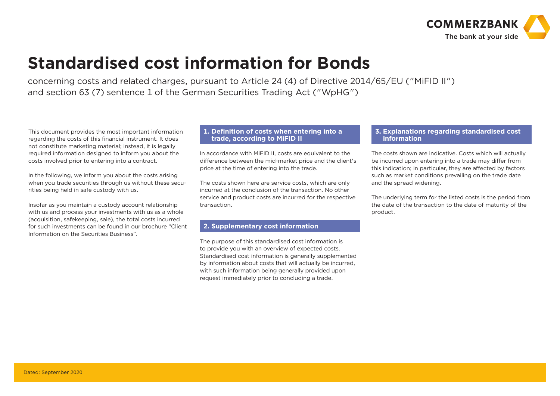

## **Standardised cost information for Bonds**

concerning costs and related charges, pursuant to Article 24 (4) of Directive 2014/65/EU ("MiFID II") and section 63 (7) sentence 1 of the German Securities Trading Act ("WpHG")

This document provides the most important information regarding the costs of this financial instrument. It does not constitute marketing material; instead, it is legally required information designed to inform you about the costs involved prior to entering into a contract.

In the following, we inform you about the costs arising when you trade securities through us without these securities being held in safe custody with us.

Insofar as you maintain a custody account relationship with us and process your investments with us as a whole (acquisition, safekeeping, sale), the total costs incurred for such investments can be found in our brochure "Client Information on the Securities Business".

#### **1. Definition of costs when entering into a trade, according to MiFID II**

In accordance with MiFID II, costs are equivalent to the difference between the mid-market price and the client's price at the time of entering into the trade.

The costs shown here are service costs, which are only incurred at the conclusion of the transaction. No other service and product costs are incurred for the respective transaction.

#### **2. Supplementary cost information**

The purpose of this standardised cost information is to provide you with an overview of expected costs. Standardised cost information is generally supplemented by information about costs that will actually be incurred, with such information being generally provided upon request immediately prior to concluding a trade.

#### **3. Explanations regarding standardised cost information**

ľ

The costs shown are indicative. Costs which will actually be incurred upon entering into a trade may differ from this indication; in particular, they are affected by factors such as market conditions prevailing on the trade date and the spread widening.

The underlying term for the listed costs is the period from the date of the transaction to the date of maturity of the product.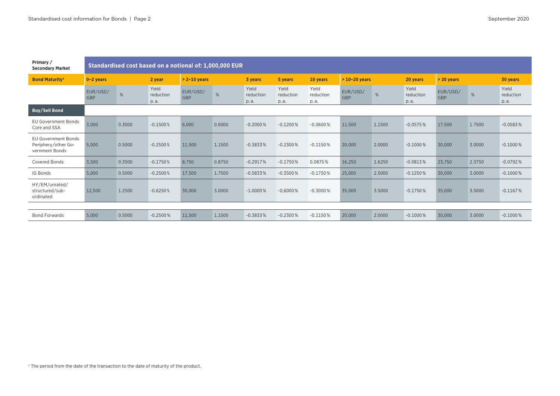| Primary /<br><b>Secondary Market</b>                                |                        | Standardised cost based on a notional of: 1,000,000 EUR |                            |                  |        |                            |                            |                            |                 |        |                            |                 |        |                            |
|---------------------------------------------------------------------|------------------------|---------------------------------------------------------|----------------------------|------------------|--------|----------------------------|----------------------------|----------------------------|-----------------|--------|----------------------------|-----------------|--------|----------------------------|
| <b>Bond Maturity<sup>1</sup></b>                                    | $0 - 2$ years          |                                                         | 2 year                     | $> 2 - 10$ years |        | 3 years                    | 5 years                    | 10 years                   | $>10-20$ years  |        | 20 years                   | > 20 years      |        | 30 years                   |
|                                                                     | EUR/USD/<br><b>GBP</b> | %                                                       | Yield<br>reduction<br>p.a. | EUR/USD/<br>GBP  | %      | Yield<br>reduction<br>p.a. | Yield<br>reduction<br>p.a. | Yield<br>reduction<br>p.a. | EUR/USD/<br>GBP | %      | Yield<br>reduction<br>p.a. | EUR/USD/<br>GBP | %      | Yield<br>reduction<br>p.a. |
| <b>Buy/Sell Bond</b>                                                |                        |                                                         |                            |                  |        |                            |                            |                            |                 |        |                            |                 |        |                            |
| <b>EU Government Bonds</b><br>Core and SSA                          | 3,000                  | 0.3000                                                  | $-0.1500%$                 | 6,000            | 0.6000 | $-0.2000\%$                | $-0.1200%$                 | $-0.0600%$                 | 11,500          | 1.1500 | $-0.0575%$                 | 17,500          | 1.7500 | $-0.0583%$                 |
| <b>EU Government Bonds</b><br>Periphery/other Go-<br>vernment Bonds | 5.000                  | 0.5000                                                  | $-0.2500%$                 | 11,500           | 1.1500 | $-0.3833%$                 | $-0.2300%$                 | $-0.1150%$                 | 20,000          | 2.0000 | $-0.1000\%$                | 30,000          | 3.0000 | $-0.1000\%$                |
| <b>Covered Bonds</b>                                                | 3.500                  | 0.3500                                                  | $-0.1750%$                 | 8,750            | 0.8750 | $-0.2917%$                 | $-0.1750%$                 | 0.0875%                    | 16,250          | 1.6250 | $-0.0813%$                 | 23,750          | 2.3750 | $-0.0792%$                 |
| IG Bonds                                                            | 5,000                  | 0.5000                                                  | $-0.2500%$                 | 17,500           | 1.7500 | $-0.5833%$                 | $-0.3500%$                 | $-0.1750%$                 | 25,000          | 2.5000 | $-0.1250%$                 | 30,000          | 3.0000 | $-0.1000\%$                |
| HY/EM/unrated/<br>structured/sub-<br>ordinated                      | 12,500                 | 1.2500                                                  | $-0.6250%$                 | 30,000           | 3.0000 | $-1.0000\%$                | $-0.6000%$                 | $-0.3000%$                 | 35,000          | 3.5000 | $-0.1750%$                 | 35,000          | 3.5000 | $-0.1167%$                 |
|                                                                     |                        |                                                         |                            |                  |        |                            |                            |                            |                 |        |                            |                 |        |                            |
| <b>Bond Forwards</b>                                                | 5,000                  | 0.5000                                                  | $-0.2500%$                 | 11,500           | 1.1500 | $-0.3833%$                 | $-0.2300%$                 | $-0.1150%$                 | 20,000          | 2.0000 | $-0.1000\%$                | 30,000          | 3.0000 | $-0.1000\%$                |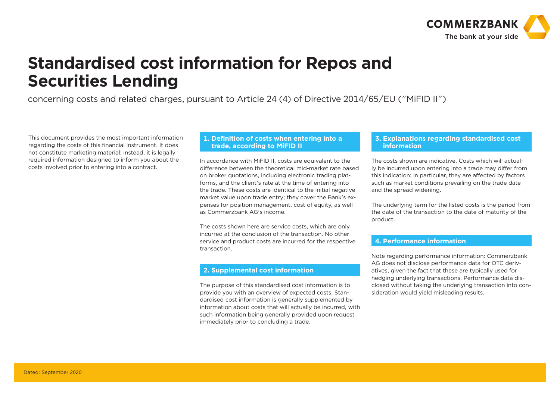

### **Standardised cost information for Repos and Securities Lending**

ľ

ľ

concerning costs and related charges, pursuant to Article 24 (4) of Directive 2014/65/EU ("MiFID II")

This document provides the most important information regarding the costs of this financial instrument. It does not constitute marketing material; instead, it is legally required information designed to inform you about the costs involved prior to entering into a contract.

#### **1. Definition of costs when entering into a trade, according to MiFID II**

In accordance with MiFID II, costs are equivalent to the difference between the theoretical mid-market rate based on broker quotations, including electronic trading platforms, and the client's rate at the time of entering into the trade. These costs are identical to the initial negative market value upon trade entry; they cover the Bank's expenses for position management, cost of equity, as well as Commerzbank AG's income.

The costs shown here are service costs, which are only incurred at the conclusion of the transaction. No other service and product costs are incurred for the respective transaction.

#### **2. Supplemental cost information**

The purpose of this standardised cost information is to provide you with an overview of expected costs. Standardised cost information is generally supplemented by information about costs that will actually be incurred, with such information being generally provided upon request immediately prior to concluding a trade.

#### **3. Explanations regarding standardised cost information**

The costs shown are indicative. Costs which will actually be incurred upon entering into a trade may differ from this indication; in particular, they are affected by factors such as market conditions prevailing on the trade date and the spread widening.

The underlying term for the listed costs is the period from the date of the transaction to the date of maturity of the product.

#### **4. Performance information**

ľ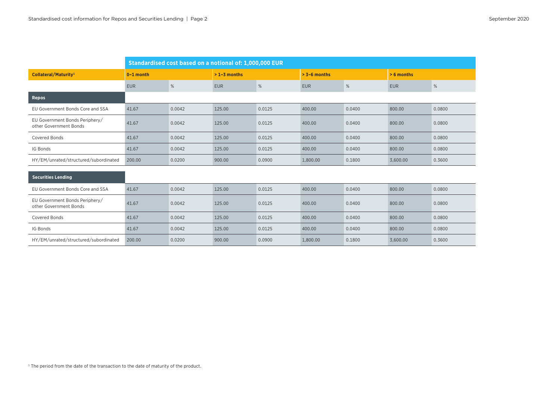|                                                          | Standardised cost based on a notional of: 1,000,000 EUR |        |               |        |                |        |              |        |  |  |
|----------------------------------------------------------|---------------------------------------------------------|--------|---------------|--------|----------------|--------|--------------|--------|--|--|
| Collateral/Maturity <sup>1</sup>                         | $0-1$ month                                             |        | $>1-3$ months |        | $> 3-6$ months |        | $> 6$ months |        |  |  |
|                                                          | <b>EUR</b>                                              | $\%$   | <b>EUR</b>    | %      | <b>EUR</b>     | %      | <b>EUR</b>   | %      |  |  |
| <b>Repos</b>                                             |                                                         |        |               |        |                |        |              |        |  |  |
| EU Government Bonds Core and SSA                         | 41.67                                                   | 0.0042 | 125.00        | 0.0125 | 400.00         | 0.0400 | 800.00       | 0.0800 |  |  |
| EU Government Bonds Periphery/<br>other Government Bonds | 41.67                                                   | 0.0042 | 125.00        | 0.0125 | 400.00         | 0.0400 | 800.00       | 0.0800 |  |  |
| <b>Covered Bonds</b>                                     | 41.67                                                   | 0.0042 | 125.00        | 0.0125 | 400.00         | 0.0400 | 800.00       | 0.0800 |  |  |
| IG Bonds                                                 | 41.67                                                   | 0.0042 | 125.00        | 0.0125 | 400.00         | 0.0400 | 800.00       | 0.0800 |  |  |
| HY/EM/unrated/structured/subordinated                    | 200.00                                                  | 0.0200 | 900.00        | 0.0900 | 1,800.00       | 0.1800 | 3,600.00     | 0.3600 |  |  |
|                                                          |                                                         |        |               |        |                |        |              |        |  |  |
| <b>Securities Lending</b>                                |                                                         |        |               |        |                |        |              |        |  |  |
| EU Government Bonds Core and SSA                         | 41.67                                                   | 0.0042 | 125.00        | 0.0125 | 400.00         | 0.0400 | 800.00       | 0.0800 |  |  |
| EU Government Bonds Periphery/<br>other Government Bonds | 41.67                                                   | 0.0042 | 125.00        | 0.0125 | 400.00         | 0.0400 | 800.00       | 0.0800 |  |  |
| <b>Covered Bonds</b>                                     | 41.67                                                   | 0.0042 | 125.00        | 0.0125 | 400.00         | 0.0400 | 800.00       | 0.0800 |  |  |
| IG Bonds                                                 | 41.67                                                   | 0.0042 | 125.00        | 0.0125 | 400.00         | 0.0400 | 800.00       | 0.0800 |  |  |
| HY/EM/unrated/structured/subordinated                    | 200.00                                                  | 0.0200 | 900.00        | 0.0900 | 1,800.00       | 0.1800 | 3,600.00     | 0.3600 |  |  |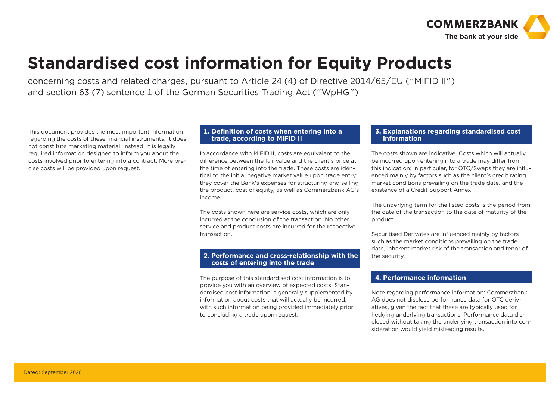

### **Standardised cost information for Equity Products**

concerning costs and related charges, pursuant to Article 24 (4) of Directive 2014/65/EU ("MiFID II") and section 63 (7) sentence 1 of the German Securities Trading Act ("WpHG")

This document provides the most important information regarding the costs of these financial instruments. It does not constitute marketing material; instead, it is legally required information designed to inform you about the costs involved prior to entering into a contract. More precise costs will be provided upon request.

#### **1. Definition of costs when entering into a trade, according to MiFID II**

In accordance with MiFID II, costs are equivalent to the difference between the fair value and the client's price at the time of entering into the trade. These costs are identical to the initial negative market value upon trade entry; they cover the Bank's expenses for structuring and selling the product, cost of equity, as well as Commerzbank AG's income.

The costs shown here are service costs, which are only incurred at the conclusion of the transaction. No other service and product costs are incurred for the respective transaction.

#### **2. Performance and cross-relationship with the costs of entering into the trade**

The purpose of this standardised cost information is to provide you with an overview of expected costs. Standardised cost information is generally supplemented by information about costs that will actually be incurred, with such information being provided immediately prior to concluding a trade upon request.

#### **3. Explanations regarding standardised cost information**

The costs shown are indicative. Costs which will actually be incurred upon entering into a trade may differ from this indication; in particular, for OTC/Swaps they are influenced mainly by factors such as the client's credit rating, market conditions prevailing on the trade date, and the existence of a Credit Support Annex.

The underlying term for the listed costs is the period from the date of the transaction to the date of maturity of the product.

Securitised Derivates are influenced mainly by factors such as the market conditions prevailing on the trade date, inherent market risk of the transaction and tenor of the security.

#### **4. Performance information**

l.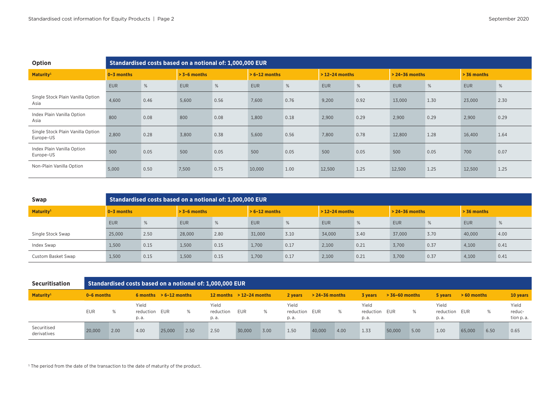| Option                                         |                | Standardised costs based on a notional of: 1,000,000 EUR |                |      |                 |      |                    |      |                    |      |               |      |  |
|------------------------------------------------|----------------|----------------------------------------------------------|----------------|------|-----------------|------|--------------------|------|--------------------|------|---------------|------|--|
| Maturity <sup>1</sup>                          | $0 - 3$ months |                                                          | $> 3-6$ months |      | $> 6-12$ months |      | $> 12 - 24$ months |      | $> 24 - 36$ months |      | $> 36$ months |      |  |
|                                                | <b>EUR</b>     | $\%$                                                     | <b>EUR</b>     | %    | <b>EUR</b>      | %    | <b>EUR</b>         | %    | <b>EUR</b>         | %    | <b>EUR</b>    | $\%$ |  |
| Single Stock Plain Vanilla Option<br>Asia      | 4,600          | 0.46                                                     | 5,600          | 0.56 | 7,600           | 0.76 | 9,200              | 0.92 | 13,000             | 1.30 | 23,000        | 2.30 |  |
| Index Plain Vanilla Option<br>Asia             | 800            | 0.08                                                     | 800            | 0.08 | 1,800           | 0.18 | 2,900              | 0.29 | 2,900              | 0.29 | 2,900         | 0.29 |  |
| Single Stock Plain Vanilla Option<br>Europe-US | 2,800          | 0.28                                                     | 3,800          | 0.38 | 5.600           | 0.56 | 7,800              | 0.78 | 12,800             | 1.28 | 16,400        | 1.64 |  |
| Index Plain Vanilla Option<br>Europe-US        | 500            | 0.05                                                     | 500            | 0.05 | 500             | 0.05 | 500                | 0.05 | 500                | 0.05 | 700           | 0.07 |  |
| Non-Plain Vanilla Option                       | 5,000          | 0.50                                                     | 7,500          | 0.75 | 10,000          | 1.00 | 12,500             | 1.25 | 12,500             | 1.25 | 12,500        | 1.25 |  |

| Swap                  |                | Standardised costs based on a notional of: 1,000,000 EUR |                |      |                 |      |                  |      |                    |      |               |      |
|-----------------------|----------------|----------------------------------------------------------|----------------|------|-----------------|------|------------------|------|--------------------|------|---------------|------|
| Maturity <sup>1</sup> | $0 - 3$ months |                                                          | $> 3-6$ months |      | $> 6-12$ months |      | $>$ 12-24 months |      | $> 24 - 36$ months |      | $> 36$ months |      |
|                       | <b>EUR</b>     | %                                                        | <b>EUR</b>     | %    | <b>EUR</b>      | %    | <b>EUR</b>       | %    | <b>EUR</b>         | %    | <b>EUR</b>    | %    |
| Single Stock Swap     | 25,000         | 2.50                                                     | 28,000         | 2.80 | 31,000          | 3.10 | 34,000           | 3.40 | 37,000             | 3.70 | 40,000        | 4.00 |
| Index Swap            | 1,500          | 0.15                                                     | 1,500          | 0.15 | 1,700           | 0.17 | 2,100            | 0.21 | 3,700              | 0.37 | 4,100         | 0.41 |
| Custom Basket Swap    | 1,500          | 0.15                                                     | 1,500          | 0.15 | 1.700           | 0.17 | 2.100            | 0.21 | 3.700              | 0.37 | 4,100         | 0.41 |

| <b>Securitisation</b>      |                |      |                                 |                          |      | Standardised costs based on a notional of: 1,000,000 EUR |        |      |                                 |                    |      |                            |                  |      |                                |              |      |                              |
|----------------------------|----------------|------|---------------------------------|--------------------------|------|----------------------------------------------------------|--------|------|---------------------------------|--------------------|------|----------------------------|------------------|------|--------------------------------|--------------|------|------------------------------|
| Maturity <sup>1</sup>      | $0 - 6$ months |      |                                 | 6 months $> 6-12$ months |      | 12 months $> 12-24$ months                               |        |      | 2 vears                         | $> 24 - 36$ months |      | 3 vears                    | $> 36-60$ months |      | 5 years                        | $>60$ months |      | 10 years                     |
|                            | <b>EUR</b>     | %    | Yield<br>reduction EUR<br>p. a. |                          | %    | Yield<br>reduction<br>p. a.                              | EUR    | %    | Yield<br>reduction EUR<br>p. a. |                    | %    | Yield<br>reduction<br>p.a. | EUR              | %    | Yield<br>reduction EUR<br>p.a. |              | %    | Yield<br>reduc-<br>tion p.a. |
| Securitised<br>derivatives | 20,000         | 2.00 | 4.00                            | 25,000                   | 2.50 | 2.50                                                     | 30,000 | 3.00 | 1.50                            | 40,000             | 4.00 | 1.33                       | 50,000           | 5.00 | 1.00                           | 65,000       | 6.50 | 0.65                         |

 $1$  The period from the date of the transaction to the date of maturity of the product.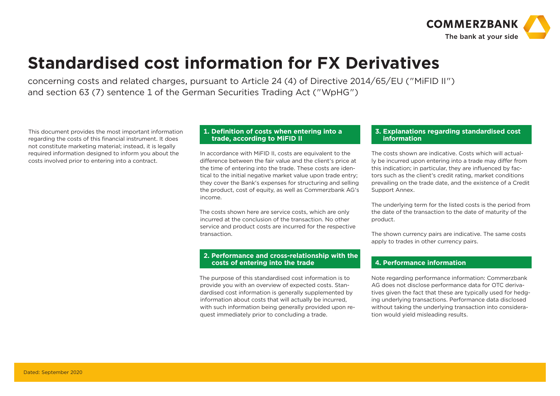

### **Standardised cost information for FX Derivatives**

concerning costs and related charges, pursuant to Article 24 (4) of Directive 2014/65/EU ("MiFID II") and section 63 (7) sentence 1 of the German Securities Trading Act ("WpHG")

This document provides the most important information regarding the costs of this financial instrument. It does not constitute marketing material; instead, it is legally required information designed to inform you about the costs involved prior to entering into a contract.

#### **1. Definition of costs when entering into a trade, according to MiFID II**

In accordance with MiFID II, costs are equivalent to the difference between the fair value and the client's price at the time of entering into the trade. These costs are identical to the initial negative market value upon trade entry; they cover the Bank's expenses for structuring and selling the product, cost of equity, as well as Commerzbank AG's income.

The costs shown here are service costs, which are only incurred at the conclusion of the transaction. No other service and product costs are incurred for the respective transaction.

#### **2. Performance and cross-relationship with the costs of entering into the trade**

The purpose of this standardised cost information is to provide you with an overview of expected costs. Standardised cost information is generally supplemented by information about costs that will actually be incurred, with such information being generally provided upon request immediately prior to concluding a trade.

#### **3. Explanations regarding standardised cost information**

The costs shown are indicative. Costs which will actually be incurred upon entering into a trade may differ from this indication; in particular, they are influenced by factors such as the client's credit rating, market conditions prevailing on the trade date, and the existence of a Credit Support Annex.

The underlying term for the listed costs is the period from the date of the transaction to the date of maturity of the product.

The shown currency pairs are indicative. The same costs apply to trades in other currency pairs.

#### **4. Performance information**

I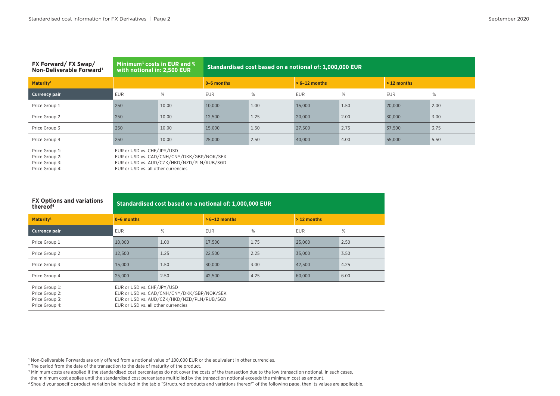| FX Forward/FX Swap/<br>Non-Deliverable Forward <sup>1</sup>          | Minimum <sup>3</sup> costs in EUR and $%$<br>with notional in: 2,500 EUR                                                                                      |       |                |      | Standardised cost based on a notional of: 1,000,000 EUR |      |              |      |
|----------------------------------------------------------------------|---------------------------------------------------------------------------------------------------------------------------------------------------------------|-------|----------------|------|---------------------------------------------------------|------|--------------|------|
| Maturity <sup>2</sup>                                                |                                                                                                                                                               |       | $0 - 6$ months |      | $> 6-12$ months                                         |      | $>12$ months |      |
| <b>Currency pair</b>                                                 | <b>EUR</b>                                                                                                                                                    | %     | <b>EUR</b>     | %    | <b>EUR</b>                                              | %    | <b>EUR</b>   | $\%$ |
| Price Group 1                                                        | 250                                                                                                                                                           | 10.00 | 10,000         | 1.00 | 15,000                                                  | 1.50 | 20,000       | 2.00 |
| Price Group 2                                                        | 250                                                                                                                                                           | 10.00 | 12,500         | 1.25 | 20,000                                                  | 2.00 | 30,000       | 3.00 |
| Price Group 3                                                        | 250                                                                                                                                                           | 10.00 | 15,000         | 1.50 | 27,500                                                  | 2.75 | 37.500       | 3.75 |
| Price Group 4                                                        | 250                                                                                                                                                           | 10.00 | 25,000         | 2.50 | 40,000                                                  | 4.00 | 55,000       | 5.50 |
| Price Group 1:<br>Price Group 2:<br>Price Group 3:<br>Price Group 4: | EUR or USD vs. CHF/JPY/USD<br>EUR or USD vs. CAD/CNH/CNY/DKK/GBP/NOK/SEK<br>EUR or USD vs. AUD/CZK/HKD/NZD/PLN/RUB/SGD<br>EUR or USD vs. all other currencies |       |                |      |                                                         |      |              |      |

| iroup 4: | EUR or USD vs. all other currencies |  |
|----------|-------------------------------------|--|
|          |                                     |  |

| <b>FX Options and variations</b><br>thereof <sup>4</sup>             |                                                                                                                                                               | Standardised cost based on a notional of: 1,000,000 EUR |                 |      |              |      |  |  |
|----------------------------------------------------------------------|---------------------------------------------------------------------------------------------------------------------------------------------------------------|---------------------------------------------------------|-----------------|------|--------------|------|--|--|
| Maturity <sup>1</sup>                                                | $0 - 6$ months                                                                                                                                                |                                                         | $> 6-12$ months |      | $>12$ months |      |  |  |
| <b>Currency pair</b>                                                 | <b>EUR</b>                                                                                                                                                    | %                                                       | <b>EUR</b>      | %    | <b>EUR</b>   | %    |  |  |
| Price Group 1                                                        | 10.000                                                                                                                                                        | 1.00                                                    | 17,500          | 1.75 | 25,000       | 2.50 |  |  |
| Price Group 2                                                        | 12,500                                                                                                                                                        | 1.25                                                    | 22,500          | 2.25 | 35,000       | 3.50 |  |  |
| Price Group 3                                                        | 15,000                                                                                                                                                        | 1.50                                                    | 30,000          | 3.00 | 42,500       | 4.25 |  |  |
| Price Group 4                                                        | 25,000                                                                                                                                                        | 2.50                                                    | 42,500          | 4.25 | 60,000       | 6.00 |  |  |
| Price Group 1:<br>Price Group 2:<br>Price Group 3:<br>Price Group 4: | EUR or USD vs. CHF/JPY/USD<br>EUR or USD vs. CAD/CNH/CNY/DKK/GBP/NOK/SEK<br>EUR or USD vs. AUD/CZK/HKD/NZD/PLN/RUB/SGD<br>EUR or USD vs. all other currencies |                                                         |                 |      |              |      |  |  |

<sup>1</sup> Non-Deliverable Forwards are only offered from a notional value of 100,000 EUR or the equivalent in other currencies.

<sup>2</sup> The period from the date of the transaction to the date of maturity of the product.

<sup>3</sup> Minimum costs are applied if the standardised cost percentages do not cover the costs of the transaction due to the low transaction notional. In such cases,

the minimum cost applies until the standardised cost percentage multiplied by the transaction notional exceeds the minimum cost as amount.

4 Should your specific product variation be included in the table "Structured products and variations thereof" of the following page, then its values are applicable.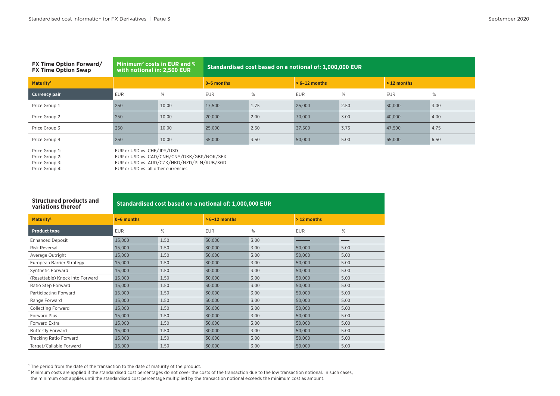| <b>FX Time Option Forward/</b><br><b>FX Time Option Swap</b>         | Minimum <sup>2</sup> costs in EUR and %<br>with notional in: 2,500 EUR |                                                                                          | Standardised cost based on a notional of: 1,000,000 EUR |      |                 |      |              |      |  |  |  |  |
|----------------------------------------------------------------------|------------------------------------------------------------------------|------------------------------------------------------------------------------------------|---------------------------------------------------------|------|-----------------|------|--------------|------|--|--|--|--|
| Maturity <sup>1</sup>                                                |                                                                        |                                                                                          | $0 - 6$ months                                          |      | $> 6-12$ months |      | $>12$ months |      |  |  |  |  |
| <b>Currency pair</b>                                                 | <b>EUR</b>                                                             | %                                                                                        | <b>EUR</b>                                              | %    | <b>EUR</b>      | %    | <b>EUR</b>   | %    |  |  |  |  |
| Price Group 1                                                        | 250                                                                    | 10.00                                                                                    | 17,500                                                  | 1.75 | 25,000          | 2.50 | 30,000       | 3.00 |  |  |  |  |
| Price Group 2                                                        | 250                                                                    | 10.00                                                                                    | 20,000                                                  | 2.00 | 30,000          | 3.00 | 40,000       | 4.00 |  |  |  |  |
| Price Group 3                                                        | 250                                                                    | 10.00                                                                                    | 25,000                                                  | 2.50 | 37,500          | 3.75 | 47,500       | 4.75 |  |  |  |  |
| Price Group 4                                                        | 250                                                                    | 10.00                                                                                    | 35,000                                                  | 3.50 | 50,000          | 5.00 | 65,000       | 6.50 |  |  |  |  |
| Price Group 1:<br>Price Group 2:<br>Price Group 3:<br>Price Group 4: | EUR or USD vs. CHF/JPY/USD<br>EUR or USD vs. all other currencies      | EUR or USD vs. CAD/CNH/CNY/DKK/GBP/NOK/SEK<br>EUR or USD vs. AUD/CZK/HKD/NZD/PLN/RUB/SGD |                                                         |      |                 |      |              |      |  |  |  |  |

| up 4: | EUR or USD vs. all other currencies |  |
|-------|-------------------------------------|--|
|       |                                     |  |

| <b>Structured products and</b><br>variations thereof | Standardised cost based on a notional of: 1,000,000 EUR |      |                 |      |              |      |  |  |  |  |  |
|------------------------------------------------------|---------------------------------------------------------|------|-----------------|------|--------------|------|--|--|--|--|--|
| Maturity <sup>1</sup>                                | 0-6 months                                              |      | $> 6-12$ months |      | $>12$ months |      |  |  |  |  |  |
| <b>Product type</b>                                  | <b>EUR</b>                                              | $\%$ | <b>EUR</b>      | $\%$ | <b>EUR</b>   | $\%$ |  |  |  |  |  |
| <b>Enhanced Deposit</b>                              | 15,000                                                  | 1.50 | 30,000          | 3.00 |              |      |  |  |  |  |  |
| <b>Risk Reversal</b>                                 | 15,000                                                  | 1.50 | 30,000          | 3.00 | 50,000       | 5.00 |  |  |  |  |  |
| Average Outright                                     | 15,000                                                  | 1.50 | 30,000          | 3.00 | 50,000       | 5.00 |  |  |  |  |  |
| European Barrier Strategy                            | 15,000                                                  | 1.50 | 30,000          | 3.00 | 50,000       | 5.00 |  |  |  |  |  |
| Synthetic Forward                                    | 15,000                                                  | 1.50 | 30,000          | 3.00 | 50,000       | 5.00 |  |  |  |  |  |
| (Resettable) Knock Into Forward                      | 15,000                                                  | 1.50 | 30,000          | 3.00 | 50,000       | 5.00 |  |  |  |  |  |
| Ratio Step Forward                                   | 15,000                                                  | 1.50 | 30,000          | 3.00 | 50,000       | 5.00 |  |  |  |  |  |
| Participating Forward                                | 15,000                                                  | 1.50 | 30,000          | 3.00 | 50,000       | 5.00 |  |  |  |  |  |
| Range Forward                                        | 15,000                                                  | 1.50 | 30,000          | 3.00 | 50,000       | 5.00 |  |  |  |  |  |
| <b>Collecting Forward</b>                            | 15,000                                                  | 1.50 | 30,000          | 3.00 | 50,000       | 5.00 |  |  |  |  |  |
| Forward Plus                                         | 15,000                                                  | 1.50 | 30,000          | 3.00 | 50,000       | 5.00 |  |  |  |  |  |
| Forward Extra                                        | 15,000                                                  | 1.50 | 30,000          | 3.00 | 50,000       | 5.00 |  |  |  |  |  |
| <b>Butterfly Forward</b>                             | 15,000                                                  | 1.50 | 30,000          | 3.00 | 50,000       | 5.00 |  |  |  |  |  |
| <b>Tracking Ratio Forward</b>                        | 15,000                                                  | 1.50 | 30,000          | 3.00 | 50,000       | 5.00 |  |  |  |  |  |
| Target/Callable Forward                              | 15,000                                                  | 1.50 | 30,000          | 3.00 | 50,000       | 5.00 |  |  |  |  |  |

 $^{\rm 1}$  The period from the date of the transaction to the date of maturity of the product.

2 Minimum costs are applied if the standardised cost percentages do not cover the costs of the transaction due to the low transaction notional. In such cases,

the minimum cost applies until the standardised cost percentage multiplied by the transaction notional exceeds the minimum cost as amount.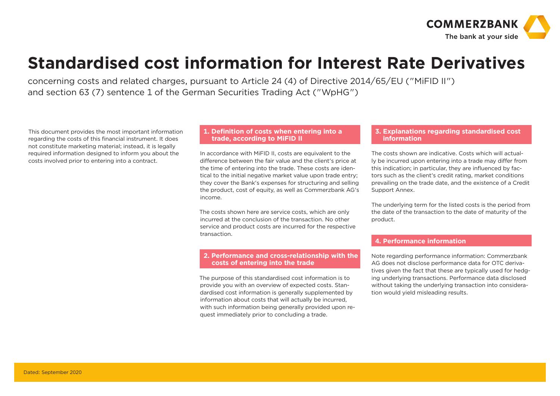

### **Standardised cost information for Interest Rate Derivatives**

concerning costs and related charges, pursuant to Article 24 (4) of Directive 2014/65/EU ("MiFID II") and section 63 (7) sentence 1 of the German Securities Trading Act ("WpHG")

This document provides the most important information regarding the costs of this financial instrument. It does not constitute marketing material; instead, it is legally required information designed to inform you about the costs involved prior to entering into a contract.

#### **1. Definition of costs when entering into a trade, according to MiFID II**

In accordance with MiFID II, costs are equivalent to the difference between the fair value and the client's price at the time of entering into the trade. These costs are identical to the initial negative market value upon trade entry; they cover the Bank's expenses for structuring and selling the product, cost of equity, as well as Commerzbank AG's income.

The costs shown here are service costs, which are only incurred at the conclusion of the transaction. No other service and product costs are incurred for the respective transaction.

#### **2. Performance and cross-relationship with the costs of entering into the trade**

The purpose of this standardised cost information is to provide you with an overview of expected costs. Standardised cost information is generally supplemented by information about costs that will actually be incurred, with such information being generally provided upon request immediately prior to concluding a trade.

#### **3. Explanations regarding standardised cost information**

The costs shown are indicative. Costs which will actually be incurred upon entering into a trade may differ from this indication; in particular, they are influenced by factors such as the client's credit rating, market conditions prevailing on the trade date, and the existence of a Credit Support Annex.

The underlying term for the listed costs is the period from the date of the transaction to the date of maturity of the product.

#### ľ **4. Performance information**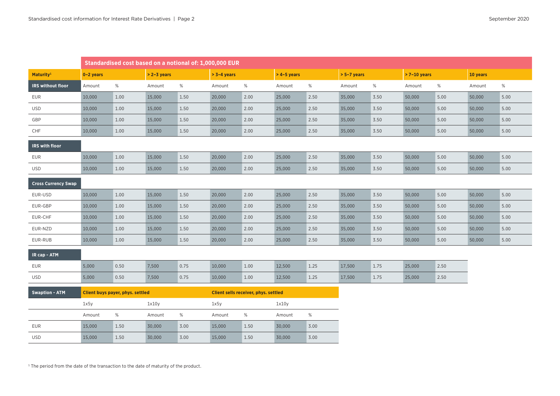|                            | Standardised cost based on a notional of: 1,000,000 EUR |                                  |               |      |                                      |      |               |      |               |      |               |      |          |      |
|----------------------------|---------------------------------------------------------|----------------------------------|---------------|------|--------------------------------------|------|---------------|------|---------------|------|---------------|------|----------|------|
| Maturity <sup>1</sup>      | $0 - 2$ years                                           |                                  | $> 2-3$ years |      | $> 3-4$ years                        |      | $>$ 4-5 years |      | $> 5-7$ years |      | $>7-10$ years |      | 10 years |      |
| IRS without floor          | Amount                                                  | $\%$                             | Amount        | $\%$ | Amount                               | $\%$ | Amount        | $\%$ | Amount        | $\%$ | Amount        | $\%$ | Amount   | $\%$ |
| <b>EUR</b>                 | 10,000                                                  | 1.00                             | 15,000        | 1.50 | 20,000                               | 2.00 | 25,000        | 2.50 | 35,000        | 3.50 | 50,000        | 5.00 | 50,000   | 5.00 |
| <b>USD</b>                 | 10,000                                                  | 1.00                             | 15,000        | 1.50 | 20,000                               | 2.00 | 25,000        | 2.50 | 35,000        | 3.50 | 50,000        | 5.00 | 50,000   | 5.00 |
| GBP                        | 10,000                                                  | 1.00                             | 15,000        | 1.50 | 20,000                               | 2.00 | 25,000        | 2.50 | 35,000        | 3.50 | 50,000        | 5.00 | 50,000   | 5.00 |
| CHF                        | 10,000                                                  | 1.00                             | 15,000        | 1.50 | 20,000                               | 2.00 | 25,000        | 2.50 | 35,000        | 3.50 | 50,000        | 5.00 | 50,000   | 5.00 |
| IRS with floor             |                                                         |                                  |               |      |                                      |      |               |      |               |      |               |      |          |      |
| <b>EUR</b>                 | 10,000                                                  | 1.00                             | 15,000        | 1.50 | 20,000                               | 2.00 | 25,000        | 2.50 | 35,000        | 3.50 | 50,000        | 5.00 | 50,000   | 5.00 |
| USD                        | 10,000                                                  | 1.00                             | 15,000        | 1.50 | 20,000                               | 2.00 | 25,000        | 2.50 | 35,000        | 3.50 | 50,000        | 5.00 | 50,000   | 5.00 |
| <b>Cross Currency Swap</b> |                                                         |                                  |               |      |                                      |      |               |      |               |      |               |      |          |      |
| EUR-USD                    | 10,000                                                  | 1.00                             | 15,000        | 1.50 | 20,000                               | 2.00 | 25,000        | 2.50 | 35,000        | 3.50 | 50,000        | 5.00 | 50,000   | 5.00 |
| EUR-GBP                    | 10,000                                                  | 1.00                             | 15,000        | 1.50 | 20,000                               | 2.00 | 25,000        | 2.50 | 35,000        | 3.50 | 50,000        | 5.00 | 50,000   | 5.00 |
| EUR-CHF                    | 10,000                                                  | 1.00                             | 15,000        | 1.50 | 20,000                               | 2.00 | 25,000        | 2.50 | 35,000        | 3.50 | 50,000        | 5.00 | 50,000   | 5.00 |
| EUR-NZD                    | 10,000                                                  | 1.00                             | 15,000        | 1.50 | 20,000                               | 2.00 | 25,000        | 2.50 | 35,000        | 3.50 | 50,000        | 5.00 | 50,000   | 5.00 |
| EUR-RUB                    | 10,000                                                  | 1.00                             | 15,000        | 1.50 | 20,000                               | 2.00 | 25,000        | 2.50 | 35,000        | 3.50 | 50,000        | 5.00 | 50,000   | 5.00 |
| IR cap - ATM               |                                                         |                                  |               |      |                                      |      |               |      |               |      |               |      |          |      |
| <b>EUR</b>                 | 5,000                                                   | 0.50                             | 7,500         | 0.75 | 10,000                               | 1.00 | 12,500        | 1.25 | 17,500        | 1.75 | 25,000        | 2.50 |          |      |
| <b>USD</b>                 | 5,000                                                   | 0.50                             | 7,500         | 0.75 | 10,000                               | 1.00 | 12,500        | 1.25 | 17,500        | 1.75 | 25,000        | 2.50 |          |      |
| <b>Swaption - ATM</b>      |                                                         | Client buys payer, phys. settled |               |      | Client sells receiver, phys. settled |      |               |      |               |      |               |      |          |      |
|                            | 1x5y                                                    |                                  | 1x10y         |      | 1x5y                                 |      | 1x10y         |      |               |      |               |      |          |      |
|                            | Amount                                                  | $\%$                             | Amount        | $\%$ | Amount                               | $\%$ | Amount        | $\%$ |               |      |               |      |          |      |
| <b>EUR</b>                 | 15,000                                                  | 1.50                             | 30,000        | 3.00 | 15,000                               | 1.50 | 30,000        | 3.00 |               |      |               |      |          |      |
| <b>USD</b>                 | 15,000                                                  | 1.50                             | 30,000        | 3.00 | 15,000                               | 1.50 | 30,000        | 3.00 |               |      |               |      |          |      |

 $1$  The period from the date of the transaction to the date of maturity of the product.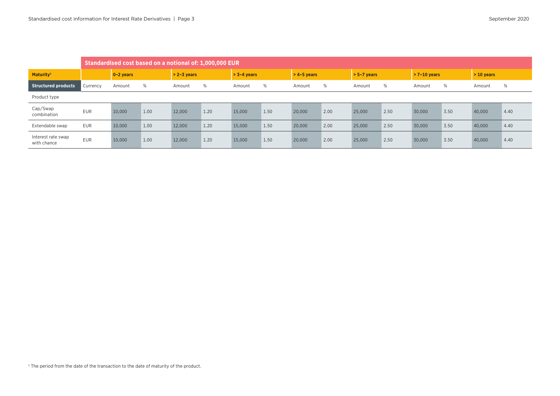|                                   | Standardised cost based on a notional of: 1,000,000 EUR |             |      |               |      |               |      |               |      |               |      |               |      |              |      |
|-----------------------------------|---------------------------------------------------------|-------------|------|---------------|------|---------------|------|---------------|------|---------------|------|---------------|------|--------------|------|
| Maturity <sup>1</sup>             |                                                         | $0-2$ years |      | $> 2-3$ years |      | $> 3-4$ years |      | $>$ 4-5 years |      | $> 5-7$ years |      | $>7-10$ vears |      | $> 10$ years |      |
| <b>Structured products</b>        | Currency                                                | Amount      | %    | Amount        | %    | Amount        | %    | Amount        | %    | Amount        | %    | Amount        | %    | Amount       | %    |
| Product type                      |                                                         |             |      |               |      |               |      |               |      |               |      |               |      |              |      |
| Cap/Swap<br>combination           | <b>EUR</b>                                              | 10,000      | 1.00 | 12,000        | 1.20 | 15,000        | 1.50 | 20,000        | 2.00 | 25,000        | 2.50 | 30,000        | 3.50 | 40,000       | 4.40 |
| Extendable swap                   | <b>EUR</b>                                              | 10,000      | 1.00 | 12,000        | 1.20 | 15,000        | 1.50 | 20,000        | 2.00 | 25,000        | 2.50 | 30,000        | 3.50 | 40,000       | 4.40 |
| Interest rate swap<br>with chance | <b>EUR</b>                                              | 10,000      | 1.00 | 12,000        | 1.20 | 15,000        | 1.50 | 20,000        | 2.00 | 25,000        | 2.50 | 30,000        | 3.50 | 40,000       | 4.40 |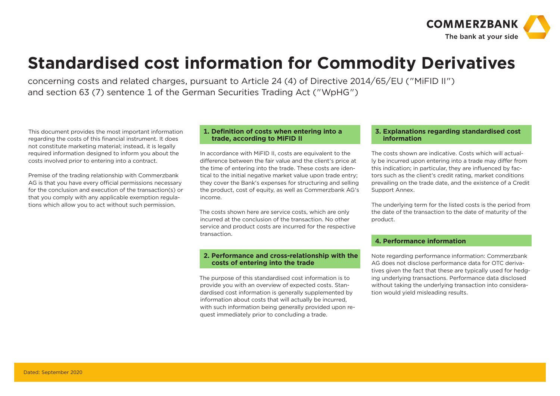

### **Standardised cost information for Commodity Derivatives**

concerning costs and related charges, pursuant to Article 24 (4) of Directive 2014/65/EU ("MiFID II") and section 63 (7) sentence 1 of the German Securities Trading Act ("WpHG")

This document provides the most important information regarding the costs of this financial instrument. It does not constitute marketing material; instead, it is legally required information designed to inform you about the costs involved prior to entering into a contract.

Premise of the trading relationship with Commerzbank AG is that you have every official permissions necessary for the conclusion and execution of the transaction(s) or that you comply with any applicable exemption regulations which allow you to act without such permission.

#### **1. Definition of costs when entering into a trade, according to MiFID II**

In accordance with MiFID II, costs are equivalent to the difference between the fair value and the client's price at the time of entering into the trade. These costs are identical to the initial negative market value upon trade entry; they cover the Bank's expenses for structuring and selling the product, cost of equity, as well as Commerzbank AG's income.

The costs shown here are service costs, which are only incurred at the conclusion of the transaction. No other service and product costs are incurred for the respective transaction.

#### **2. Performance and cross-relationship with the costs of entering into the trade**

The purpose of this standardised cost information is to provide you with an overview of expected costs. Standardised cost information is generally supplemented by information about costs that will actually be incurred, with such information being generally provided upon request immediately prior to concluding a trade.

#### **3. Explanations regarding standardised cost information**

The costs shown are indicative. Costs which will actually be incurred upon entering into a trade may differ from this indication; in particular, they are influenced by factors such as the client's credit rating, market conditions prevailing on the trade date, and the existence of a Credit Support Annex.

The underlying term for the listed costs is the period from the date of the transaction to the date of maturity of the product.

#### ľ **4. Performance information**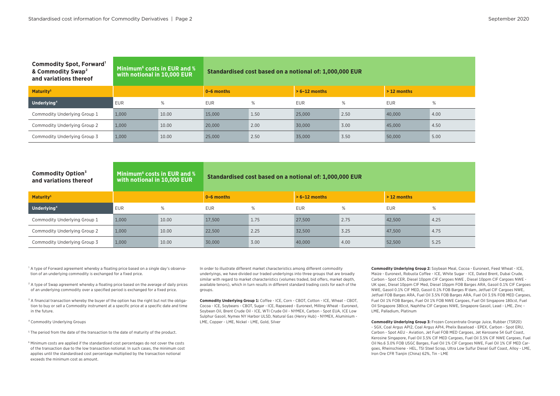| <b>Commodity Spot, Forward</b><br>& Commodity Swap <sup>2</sup><br>and variations thereof | Minimum <sup>6</sup> costs in EUR and %<br>with notional in 10,000 EUR |       | Standardised cost based on a notional of: 1,000,000 EUR |      |                 |      |               |      |  |  |  |
|-------------------------------------------------------------------------------------------|------------------------------------------------------------------------|-------|---------------------------------------------------------|------|-----------------|------|---------------|------|--|--|--|
| Maturity <sup>5</sup>                                                                     |                                                                        |       | $0 - 6$ months                                          |      | $> 6-12$ months |      | $> 12$ months |      |  |  |  |
| Underlying <sup>4</sup>                                                                   | <b>EUR</b>                                                             | %     | <b>EUR</b>                                              | %    | <b>EUR</b>      | %    | <b>EUR</b>    | %    |  |  |  |
| Commodity Underlying Group 1                                                              | 1.000                                                                  | 10.00 | 15,000                                                  | 1.50 | 25,000          | 2.50 | 40,000        | 4.00 |  |  |  |
| Commodity Underlying Group 2                                                              | 1.000                                                                  | 10.00 | 20,000                                                  | 2.00 | 30,000          | 3.00 | 45,000        | 4.50 |  |  |  |
| Commodity Underlying Group 3                                                              | 1.000                                                                  | 10.00 | 25,000                                                  | 2.50 | 35,000          | 3.50 | 50,000        | 5.00 |  |  |  |

| Commodity Option <sup>3</sup><br>and variations thereof | Minimum <sup>6</sup> costs in EUR and %<br>with notional in 10,000 EUR |       | Standardised cost based on a notional of: 1,000,000 EUR |               |                 |      |              |      |  |  |  |
|---------------------------------------------------------|------------------------------------------------------------------------|-------|---------------------------------------------------------|---------------|-----------------|------|--------------|------|--|--|--|
| Maturity <sup>5</sup>                                   |                                                                        |       | $0 - 6$ months                                          |               | $> 6-12$ months |      | $>12$ months |      |  |  |  |
| Underlying <sup>4</sup>                                 | EUR                                                                    | %     | <b>EUR</b>                                              | $\frac{0}{c}$ | <b>EUR</b>      | %    | <b>EUR</b>   | %    |  |  |  |
| Commodity Underlying Group 1                            | 1.000                                                                  | 10.00 | 17.500                                                  | 1.75          | 27,500          | 2.75 | 42,500       | 4.25 |  |  |  |
| Commodity Underlying Group 2                            | 1.000                                                                  | 10.00 | 22,500                                                  | 2.25          | 32.500          | 3.25 | 47,500       | 4.75 |  |  |  |
| Commodity Underlying Group 3                            | 1.000                                                                  | 10.00 | 30,000                                                  | 3.00          | 40,000          | 4.00 | 52,500       | 5.25 |  |  |  |

<sup>1</sup> A type of Forward agreement whereby a floating price based on a single day's observation of an underlying commodity is exchanged for a fixed price.

<sup>2</sup> A type of Swap agreement whereby a floating price based on the average of daily prices of an underlying commodity over a specified period is exchanged for a fixed price.

<sup>3</sup> A financial transaction whereby the buyer of the option has the right but not the obligation to buy or sell a Commodity instrument at a specific price at a specific date and time in the future.

⁴ Commodity Underlying Groups

 $^5$  The period from the date of the transaction to the date of maturity of the product.

<sup>6</sup> Minimum costs are applied if the standardised cost percentages do not cover the costs of the transaction due to the low transaction notional. In such cases, the minimum cost applies until the standardised cost percentage multiplied by the transaction notional exceeds the minimum cost as amount.

In order to illustrate different market characteristics among different commodity underlyings, we have divided our traded underlyings into three groups that are broadly similar with regard to market characteristics (volumes traded, bid offers, market depth, available tenors), which in turn results in different standard trading costs for each of the groups.

**Commodity Underlying Group 1:** Coffee - ICE, Corn - CBOT, Cotton - ICE, Wheat - CBOT, Cocoa - ICE, Soybeans - CBOT, Sugar - ICE, Rapeseed - Euronext, Milling Wheat - Euronext, Soybean Oil, Brent Crude Oil - ICE, WTI Crude Oil - NYMEX, Carbon - Spot EUA, ICE Low Sulphur Gasoil, Nymex NY Harbor ULSD, Natural Gas (Henry Hub) - NYMEX, Aluminium - LME, Copper - LME, Nickel - LME, Gold, Silver

**Commodity Underlying Group 2:** Soybean Meal, Cocoa - Euronext, Feed Wheat - ICE, Maize - Euronext, Robusta Coffee - ICE, White Sugar - ICE, Dated Brent, Dubai Crude, Carbon - Spot CER, Diesel 10ppm CIF Cargoes NWE , Diesel 10ppm CIF Cargoes NWE - UK spec, Diesel 10ppm CIF Med, Diesel 10ppm FOB Barges ARA, Gasoil 0.1% CIF Cargoes NWE, Gasoil 0.1% CIF MED, Gasoil 0.1% FOB Barges R'dam, Jetfuel CIF Cargoes NWE, Jetfuel FOB Barges ARA, Fuel Oil 3.5% FOB Barges ARA, Fuel Oil 3.5% FOB MED Cargoes, Fuel Oil 1% FOB Barges, Fuel Oil 1% FOB NWE Cargoes, Fuel Oil Singapore 180cst, Fuel Oil Singapore 380cst, Naphtha CIF Cargoes NWE, Singapore Gasoil, Lead - LME, Zinc - LME, Palladium, Platinum

**Commodity Underlying Group 3:** Frozen Concentrate Orange Juice, Rubber (TSR20) - SGX, Coal Argus API2, Coal Argus API4, Phelix Baseload - EPEX, Carbon - Spot ERU, Carbon - Spot AEU - Aviation, Jet Fuel FOB MED Cargoes, Jet Kerosene 54 Gulf Coast, Kerosine Singapore, Fuel Oil 3.5% CIF MED Cargoes, Fuel Oil 3.5% CIF NWE Cargoes, Fuel Oil No.6 3.0% FOB USGC Barges, Fuel Oil 1% CIF Cargoes NWE, Fuel Oil 1% CIF MED Cargoes, Rheinschiene - HEL, TSI Steel Scrap, Ultra Low Sulfur Diesel Gulf Coast, Alloy - LME, Iron Ore CFR Tianjin (China) 62%, Tin - LME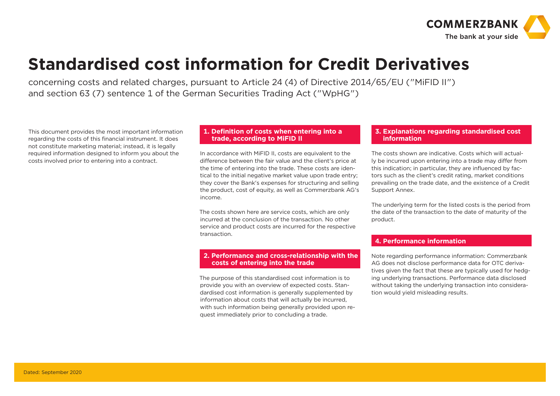

### **Standardised cost information for Credit Derivatives**

concerning costs and related charges, pursuant to Article 24 (4) of Directive 2014/65/EU ("MiFID II") and section 63 (7) sentence 1 of the German Securities Trading Act ("WpHG")

This document provides the most important information regarding the costs of this financial instrument. It does not constitute marketing material; instead, it is legally required information designed to inform you about the costs involved prior to entering into a contract.

#### **1. Definition of costs when entering into a trade, according to MiFID II**

In accordance with MiFID II, costs are equivalent to the difference between the fair value and the client's price at the time of entering into the trade. These costs are identical to the initial negative market value upon trade entry; they cover the Bank's expenses for structuring and selling the product, cost of equity, as well as Commerzbank AG's income.

The costs shown here are service costs, which are only incurred at the conclusion of the transaction. No other service and product costs are incurred for the respective transaction.

#### **2. Performance and cross-relationship with the costs of entering into the trade**

The purpose of this standardised cost information is to provide you with an overview of expected costs. Standardised cost information is generally supplemented by information about costs that will actually be incurred, with such information being generally provided upon request immediately prior to concluding a trade.

#### **3. Explanations regarding standardised cost information**

The costs shown are indicative. Costs which will actually be incurred upon entering into a trade may differ from this indication; in particular, they are influenced by factors such as the client's credit rating, market conditions prevailing on the trade date, and the existence of a Credit Support Annex.

The underlying term for the listed costs is the period from the date of the transaction to the date of maturity of the product.

#### ľ **4. Performance information**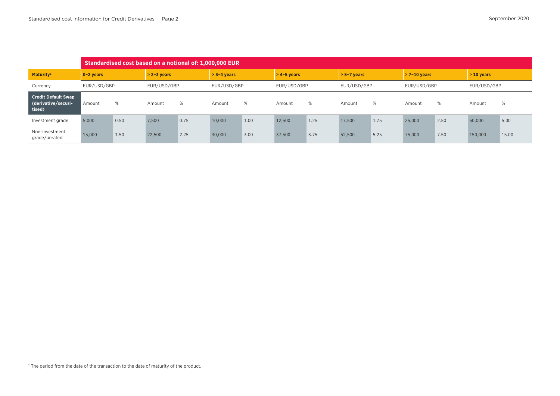|                                                             | Standardised cost based on a notional of: 1,000,000 EUR |      |               |      |               |      |               |      |               |      |             |      |             |       |
|-------------------------------------------------------------|---------------------------------------------------------|------|---------------|------|---------------|------|---------------|------|---------------|------|-------------|------|-------------|-------|
| Maturity <sup>1</sup>                                       | $> 2-3$ vears<br>$0-2$ years                            |      | $> 3-4$ vears |      | $>$ 4-5 vears |      | $> 5-7$ years |      | $>7-10$ years |      | $>10$ years |      |             |       |
| Currency                                                    | EUR/USD/GBP                                             |      | EUR/USD/GBP   |      | EUR/USD/GBP   |      | EUR/USD/GBP   |      | EUR/USD/GBP   |      | EUR/USD/GBP |      | EUR/USD/GBP |       |
| <b>Credit Default Swap</b><br>(derivative/securi-<br>tised) | Amount                                                  | %    | Amount        | %    | Amount        | %    | Amount        | %    | Amount        | %    | Amount      | %    | Amount      | %     |
| Investment grade                                            | 5.000                                                   | 0.50 | 7.500         | 0.75 | 10,000        | 1.00 | 12,500        | 1.25 | 17.500        | 1.75 | 25,000      | 2.50 | 50,000      | 5.00  |
| Non-investment<br>grade/unrated                             | 15,000                                                  | 1.50 | 22,500        | 2.25 | 30,000        | 3.00 | 37,500        | 3.75 | 52,500        | 5.25 | 75,000      | 7.50 | 150,000     | 15.00 |